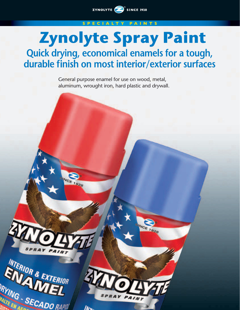

## **SPECIALTY PAINTS**

## **Zynolyte Spray Paint** Quick drying, economical enamels for a tough,

durable finish on most interior/exterior surfaces

General purpose enamel for use on wood, metal, aluminum, wrought iron, hard plastic and drywall.



CE 1928





CE 1928